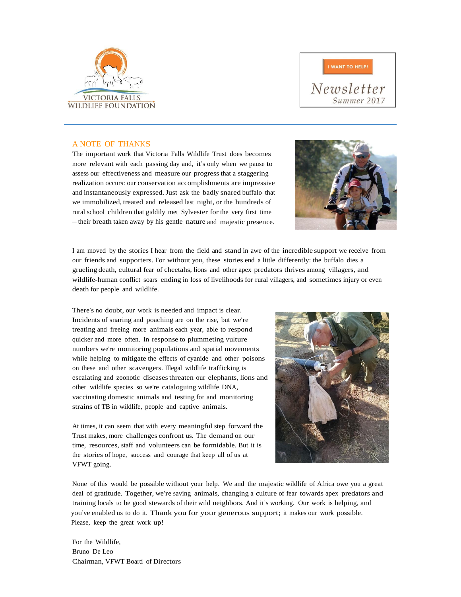



Newsletter Summer 2017

## A NOTE OF THANKS

The important work that Victoria Falls Wildlife Trust does becomes more relevant with each passing day and, it's only when we pause to assess our effectiveness and measure our progress that a staggering realization occurs: our conservation accomplishments are impressive and instantaneously expressed.Just ask the badly snared buffalo that we immobilized, treated and released last night, or the hundreds of rural school children that giddily met Sylvester for the very first time – their breath taken away by his gentle nature and majestic presence.



I am moved by the stories I hear from the field and stand in awe of the incredible support we receive from our friends and supporters. For without you, these stories end a little differently: the buffalo dies a grueling death, cultural fear of cheetahs, lions and other apex predators thrives among villagers, and wildlife-human conflict soars ending in loss of livelihoods for rural villagers, and sometimes injury or even death for people and wildlife.

There's no doubt, our work is needed and impact is clear. Incidents of snaring and poaching are on the rise, but we're treating and freeing more animals each year, able to respond quicker and more often. In response to plummeting vulture numbers we're monitoring populations and spatial movements while helping to mitigate the effects of cyanide and other poisons on these and other scavengers. Illegal wildlife trafficking is escalating and zoonotic diseasesthreaten our elephants, lions and other wildlife species so we're cataloguing wildlife DNA, vaccinating domestic animals and testing for and monitoring strains of TB in wildlife, people and captive animals.

At times, it can seem that with every meaningful step forward the Trust makes, more challenges confront us. The demand on our time, resources, staff and volunteers can be formidable. But it is the stories of hope, success and courage that keep all of us at VFWT going.



None of this would be possible without your help. We and the majestic wildlife of Africa owe you a great deal of gratitude. Together, we're saving animals, changing a culture of fear towards apex predators and training locals to be good stewards of their wild neighbors. And it's working. Our work is helping, and you've enabled us to do it. Thank you for your generous support; it makes our work possible. Please, keep the great work up!

For the Wildlife, Bruno De Leo Chairman, VFWT Board of Directors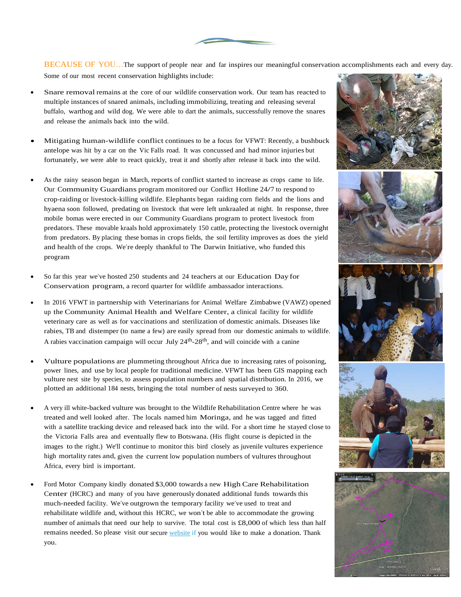BECAUSE OF YOU...The support of people near and far inspires our meaningful conservation accomplishments each and every day. Some of our most recent conservation highlights include:

- Snare removal remains at the core of our wildlife conservation work. Our team has reacted to multiple instances of snared animals, including immobilizing, treating and releasing several buffalo, warthog and wild dog. We were able to dart the animals, successfully remove the snares and release the animals back into the wild.
- Mitigating human-wildlife conflict continues to be a focus for VFWT: Recently, a bushbuck antelope was hit by a car on the Vic Falls road. It was concussed and had minor injuries but fortunately, we were able to react quickly, treat it and shortly after release it back into the wild.
- As the rainy season began in March, reports of conflict started to increase as crops came to life. Our Community Guardians program monitored our Conflict Hotline 24/7 to respond to crop-raiding or livestock-killing wildlife. Elephants began raiding corn fields and the lions and hyaena soon followed, predating on livestock that were left unkraaled at night. In response, three mobile bomas were erected in our Community Guardians program to protect livestock from predators. These movable kraals hold approximately 150 cattle, protecting the livestock overnight from predators. By placing these bomas in crops fields, the soil fertility improves as does the yield and health of the crops. We're deeply thankful to The Darwin Initiative, who funded this program
- So far this year we've hosted 250 students and 24 teachers at our Education Day for Conservation program, a record quarter for wildlife ambassador interactions.
- In 2016 VFWT in partnership with Veterinarians for Animal Welfare Zimbabwe (VAWZ) opened up the Community Animal Health and Welfare Center, a clinical facility for wildlife veterinary care as well as for vaccinations and sterilization of domestic animals. Diseases like rabies, TB and distemper (to name a few) are easily spread from our domestic animals to wildlife. A rabies vaccination campaign will occur July 24<sup>th</sup>-28<sup>th</sup>, and will coincide with a canine
- Vulture populations are plummeting throughout Africa due to increasing rates of poisoning, power lines, and use by local people for traditional medicine. VFWT has been GIS mapping each vulture nest site by species, to assess population numbers and spatial distribution. In 2016, we plotted an additional 184 nests, bringing the total number of nests surveyed to 360.
- A very ill white-backed vulture was brought to the Wildlife Rehabilitation Centre where he was treated and well looked after. The locals named him Moringa, and he was tagged and fitted with a satellite tracking device and released back into the wild. For a short time he stayed close to the Victoria Falls area and eventually flew to Botswana. (His flight course is depicted in the images to the right.) We'll continue to monitor this bird closely as juvenile vultures experience high mortality rates and, given the current low population numbers of vultures throughout Africa, every bird is important.
- Ford Motor Company kindly donated \$3,000 towards a new High Care Rehabilitation Center (HCRC) and many of you have generously donated additional funds towards this much-needed facility. We've outgrown the temporary facility we've used to treat and rehabilitate wildlife and, without this HCRC, we won't be able to accommodate the growing number of animals that need our help to survive. The total cost is £8,000 of which less than half remains needed. So please visit our secure website if you would like to make a donation. Thank you.